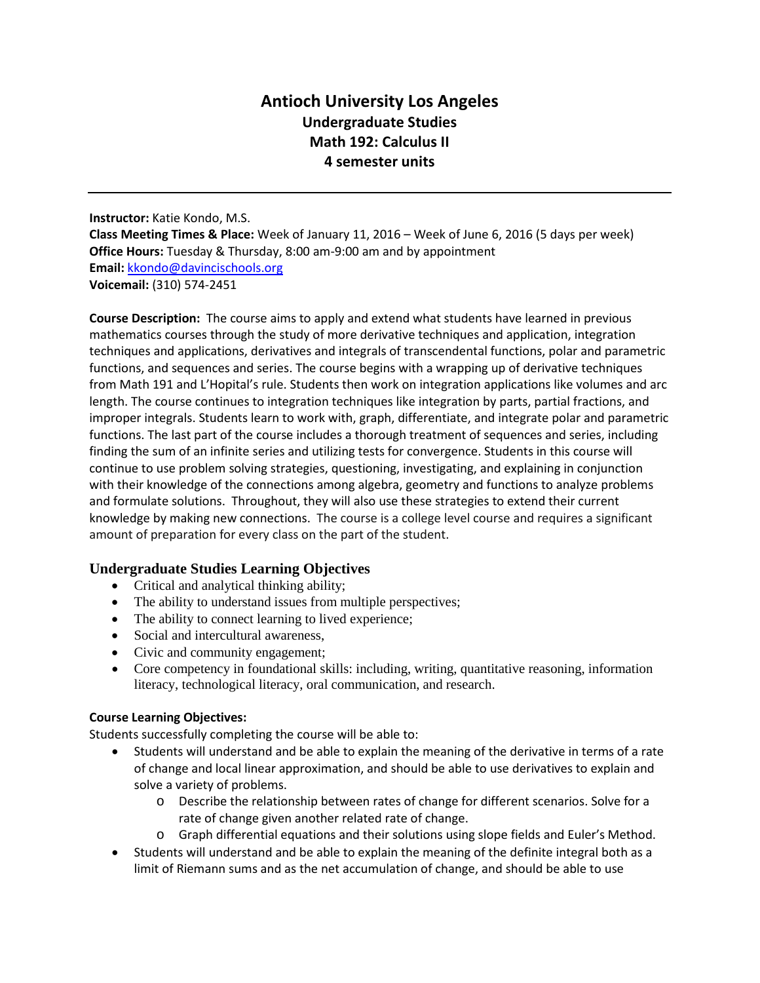# **Antioch University Los Angeles Undergraduate Studies Math 192: Calculus II 4 semester units**

**Instructor:** Katie Kondo, M.S. **Class Meeting Times & Place:** Week of January 11, 2016 – Week of June 6, 2016 (5 days per week) **Office Hours:** Tuesday & Thursday, 8:00 am-9:00 am and by appointment **Email:** [kkondo@davincischools.org](mailto:kkondo@davincischools.org) **Voicemail:** (310) 574-2451

**Course Description:** The course aims to apply and extend what students have learned in previous mathematics courses through the study of more derivative techniques and application, integration techniques and applications, derivatives and integrals of transcendental functions, polar and parametric functions, and sequences and series. The course begins with a wrapping up of derivative techniques from Math 191 and L'Hopital's rule. Students then work on integration applications like volumes and arc length. The course continues to integration techniques like integration by parts, partial fractions, and improper integrals. Students learn to work with, graph, differentiate, and integrate polar and parametric functions. The last part of the course includes a thorough treatment of sequences and series, including finding the sum of an infinite series and utilizing tests for convergence. Students in this course will continue to use problem solving strategies, questioning, investigating, and explaining in conjunction with their knowledge of the connections among algebra, geometry and functions to analyze problems and formulate solutions. Throughout, they will also use these strategies to extend their current knowledge by making new connections. The course is a college level course and requires a significant amount of preparation for every class on the part of the student.

#### **Undergraduate Studies Learning Objectives**

- Critical and analytical thinking ability;
- The ability to understand issues from multiple perspectives;
- The ability to connect learning to lived experience;
- Social and intercultural awareness,
- Civic and community engagement;
- Core competency in foundational skills: including, writing, quantitative reasoning, information literacy, technological literacy, oral communication, and research.

#### **Course Learning Objectives:**

Students successfully completing the course will be able to:

- Students will understand and be able to explain the meaning of the derivative in terms of a rate of change and local linear approximation, and should be able to use derivatives to explain and solve a variety of problems.
	- o Describe the relationship between rates of change for different scenarios. Solve for a rate of change given another related rate of change.
	- o Graph differential equations and their solutions using slope fields and Euler's Method.
- Students will understand and be able to explain the meaning of the definite integral both as a limit of Riemann sums and as the net accumulation of change, and should be able to use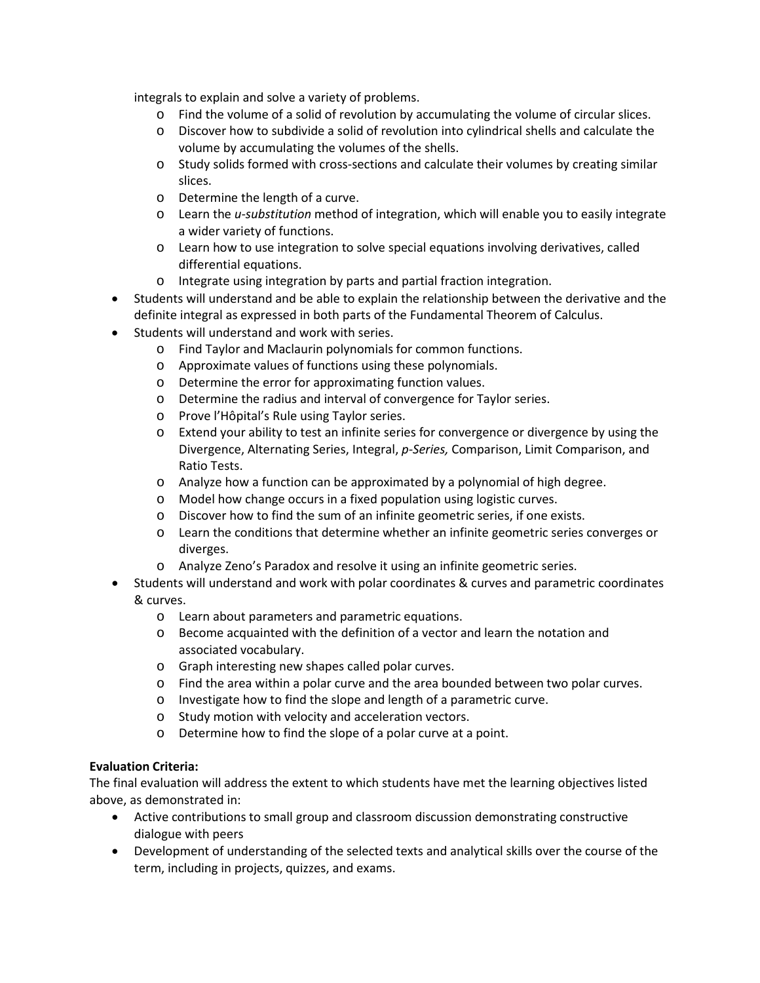integrals to explain and solve a variety of problems.

- o Find the volume of a solid of revolution by accumulating the volume of circular slices.
- o Discover how to subdivide a solid of revolution into cylindrical shells and calculate the volume by accumulating the volumes of the shells.
- o Study solids formed with cross-sections and calculate their volumes by creating similar slices.
- o Determine the length of a curve.
- o Learn the *u-substitution* method of integration, which will enable you to easily integrate a wider variety of functions.
- o Learn how to use integration to solve special equations involving derivatives, called differential equations.
- o Integrate using integration by parts and partial fraction integration.
- Students will understand and be able to explain the relationship between the derivative and the definite integral as expressed in both parts of the Fundamental Theorem of Calculus.
- Students will understand and work with series.
	- o Find Taylor and Maclaurin polynomials for common functions.
	- o Approximate values of functions using these polynomials.
	- o Determine the error for approximating function values.
	- o Determine the radius and interval of convergence for Taylor series.
	- o Prove l'Hôpital's Rule using Taylor series.
	- o Extend your ability to test an infinite series for convergence or divergence by using the Divergence, Alternating Series, Integral, *p-Series,* Comparison, Limit Comparison, and Ratio Tests.
	- o Analyze how a function can be approximated by a polynomial of high degree.
	- o Model how change occurs in a fixed population using logistic curves.
	- o Discover how to find the sum of an infinite geometric series, if one exists.
	- o Learn the conditions that determine whether an infinite geometric series converges or diverges.
	- o Analyze Zeno's Paradox and resolve it using an infinite geometric series.
- Students will understand and work with polar coordinates & curves and parametric coordinates & curves.
	- o Learn about parameters and parametric equations.
	- o Become acquainted with the definition of a vector and learn the notation and associated vocabulary.
	- o Graph interesting new shapes called polar curves.
	- o Find the area within a polar curve and the area bounded between two polar curves.
	- o Investigate how to find the slope and length of a parametric curve.
	- o Study motion with velocity and acceleration vectors.
	- o Determine how to find the slope of a polar curve at a point.

#### **Evaluation Criteria:**

The final evaluation will address the extent to which students have met the learning objectives listed above, as demonstrated in:

- Active contributions to small group and classroom discussion demonstrating constructive dialogue with peers
- Development of understanding of the selected texts and analytical skills over the course of the term, including in projects, quizzes, and exams.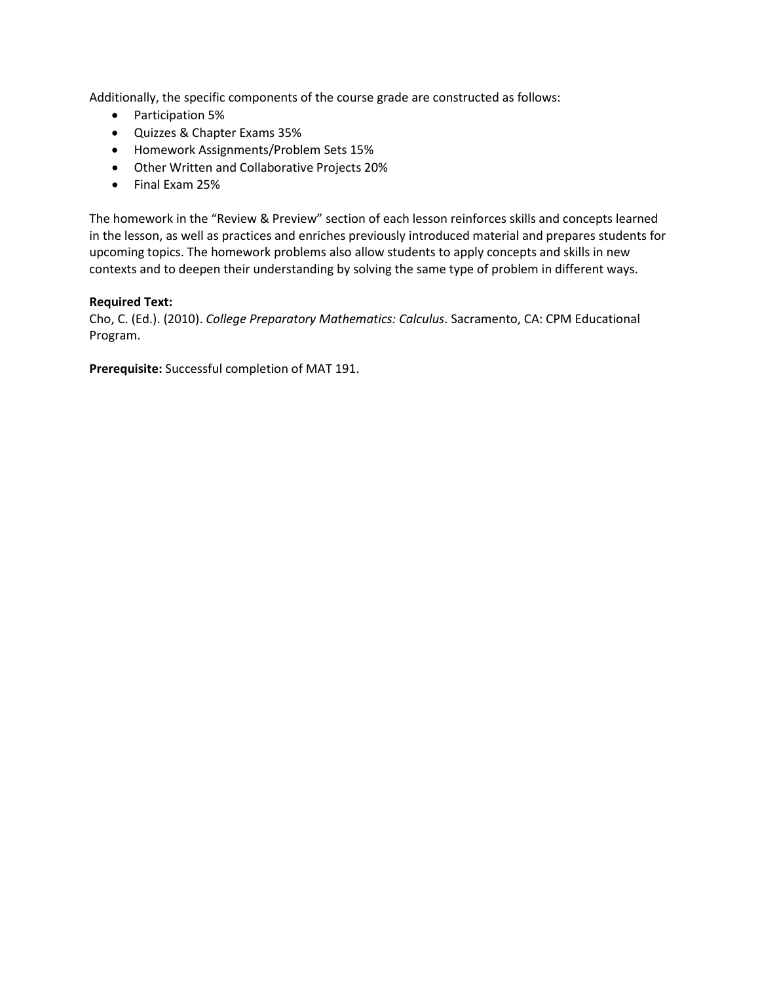Additionally, the specific components of the course grade are constructed as follows:

- Participation 5%
- Quizzes & Chapter Exams 35%
- Homework Assignments/Problem Sets 15%
- Other Written and Collaborative Projects 20%
- Final Exam 25%

The homework in the "Review & Preview" section of each lesson reinforces skills and concepts learned in the lesson, as well as practices and enriches previously introduced material and prepares students for upcoming topics. The homework problems also allow students to apply concepts and skills in new contexts and to deepen their understanding by solving the same type of problem in different ways.

#### **Required Text:**

Cho, C. (Ed.). (2010). *College Preparatory Mathematics: Calculus*. Sacramento, CA: CPM Educational Program.

**Prerequisite:** Successful completion of MAT 191.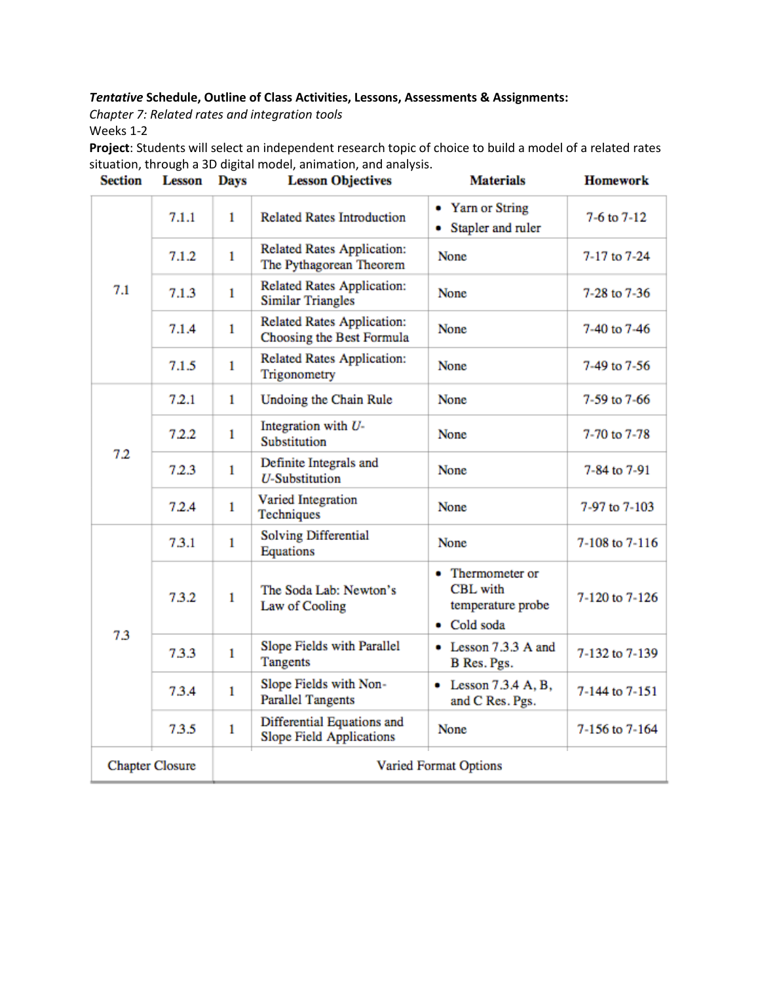### *Tentative* **Schedule, Outline of Class Activities, Lessons, Assessments & Assignments:**

*Chapter 7: Related rates and integration tools*

Weeks 1-2

**Project**: Students will select an independent research topic of choice to build a model of a related rates situation, through a 3D digital model, animation, and analysis.

| <b>Section</b>         | <b>Lesson</b> | <b>Days</b>           | <b>Lesson Objectives</b>                                      | <b>Materials</b>                                                        | <b>Homework</b> |
|------------------------|---------------|-----------------------|---------------------------------------------------------------|-------------------------------------------------------------------------|-----------------|
| 7.1                    | 7.1.1         | 1                     | <b>Related Rates Introduction</b>                             | • Yarn or String<br>• Stapler and ruler                                 | $7-6$ to $7-12$ |
|                        | 7.1.2         | $\mathbf{1}$          | Related Rates Application:<br>The Pythagorean Theorem         | None                                                                    | 7-17 to 7-24    |
|                        | 7.1.3         | $\mathbf{1}$          | <b>Related Rates Application:</b><br><b>Similar Triangles</b> | None                                                                    | 7-28 to 7-36    |
|                        | 7.1.4         | 1                     | Related Rates Application:<br>Choosing the Best Formula       | <b>None</b>                                                             | 7-40 to 7-46    |
|                        | 7.1.5         | $\mathbf{1}$          | <b>Related Rates Application:</b><br>Trigonometry             | None                                                                    | 7-49 to 7-56    |
|                        | 7.2.1         | $\mathbf{1}$          | Undoing the Chain Rule                                        | None                                                                    | 7-59 to 7-66    |
| 7.2                    | 7.2.2         | $\mathbf{1}$          | Integration with U-<br>Substitution                           | None                                                                    | 7-70 to 7-78    |
|                        | 7.2.3         | $\mathbf{1}$          | Definite Integrals and<br><b>U-Substitution</b>               | None                                                                    | 7-84 to 7-91    |
|                        | 7.2.4         | $\mathbf{1}$          | Varied Integration<br>Techniques                              | None                                                                    | 7-97 to 7-103   |
| 7.3                    | 7.3.1         | 1                     | Solving Differential<br>Equations                             | None                                                                    | 7-108 to 7-116  |
|                        | 7.3.2         | $\mathbf{1}$          | The Soda Lab: Newton's<br>Law of Cooling                      | • Thermometer or<br><b>CBL</b> with<br>temperature probe<br>• Cold soda | 7-120 to 7-126  |
|                        | 7.3.3         | 1                     | Slope Fields with Parallel<br><b>Tangents</b>                 | • Lesson 7.3.3 A and<br>B Res. Pgs.                                     | 7-132 to 7-139  |
|                        | 7.3.4         | $\mathbf{1}$          | Slope Fields with Non-<br><b>Parallel Tangents</b>            | $\bullet$ Lesson 7.3.4 A, B,<br>and C Res. Pgs.                         | 7-144 to 7-151  |
|                        | 7.3.5         | $\mathbf{1}$          | Differential Equations and<br><b>Slope Field Applications</b> | None                                                                    | 7-156 to 7-164  |
| <b>Chapter Closure</b> |               | Varied Format Options |                                                               |                                                                         |                 |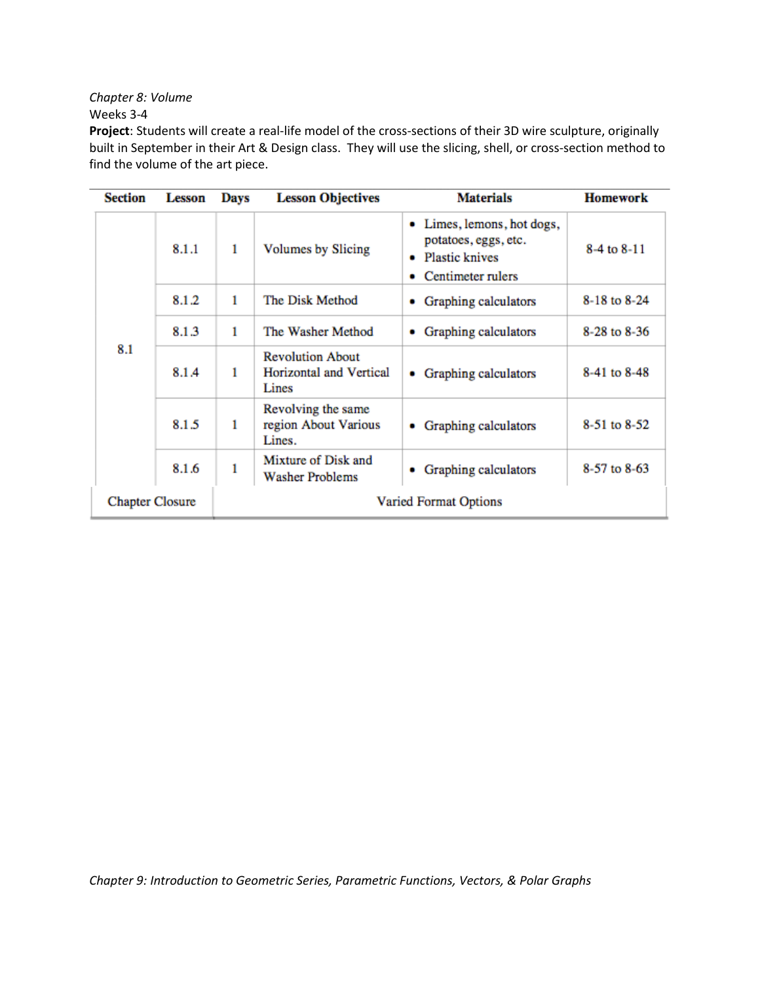*Chapter 8: Volume*

Weeks 3-4

**Project**: Students will create a real-life model of the cross-sections of their 3D wire sculpture, originally built in September in their Art & Design class. They will use the slicing, shell, or cross-section method to find the volume of the art piece.

| <b>Section</b>         | <b>Lesson</b> | Days | <b>Lesson Objectives</b>                                           | <b>Materials</b>                                                                                 | <b>Homework</b> |
|------------------------|---------------|------|--------------------------------------------------------------------|--------------------------------------------------------------------------------------------------|-----------------|
| 8.1                    | 8.1.1         | 1    | <b>Volumes by Slicing</b>                                          | • Limes, lemons, hot dogs,<br>potatoes, eggs, etc.<br><b>Plastic knives</b><br>Centimeter rulers | 8-4 to 8-11     |
|                        | 8.1.2         | 1    | The Disk Method                                                    | Graphing calculators<br>۰                                                                        | 8-18 to 8-24    |
|                        | 8.1.3         | 1    | The Washer Method                                                  | Graphing calculators<br>۰                                                                        | 8-28 to 8-36    |
|                        | 8.1.4         | 1    | <b>Revolution About</b><br><b>Horizontal and Vertical</b><br>Lines | Graphing calculators<br>۰                                                                        | 8-41 to 8-48    |
|                        | 8.1.5         | 1    | Revolving the same<br>region About Various<br>Lines.               | Graphing calculators<br>٠                                                                        | 8-51 to 8-52    |
|                        | 8.1.6         | 1    | Mixture of Disk and<br><b>Washer Problems</b>                      | Graphing calculators<br>٠                                                                        | 8-57 to 8-63    |
| <b>Chapter Closure</b> |               |      |                                                                    | <b>Varied Format Options</b>                                                                     |                 |

*Chapter 9: Introduction to Geometric Series, Parametric Functions, Vectors, & Polar Graphs*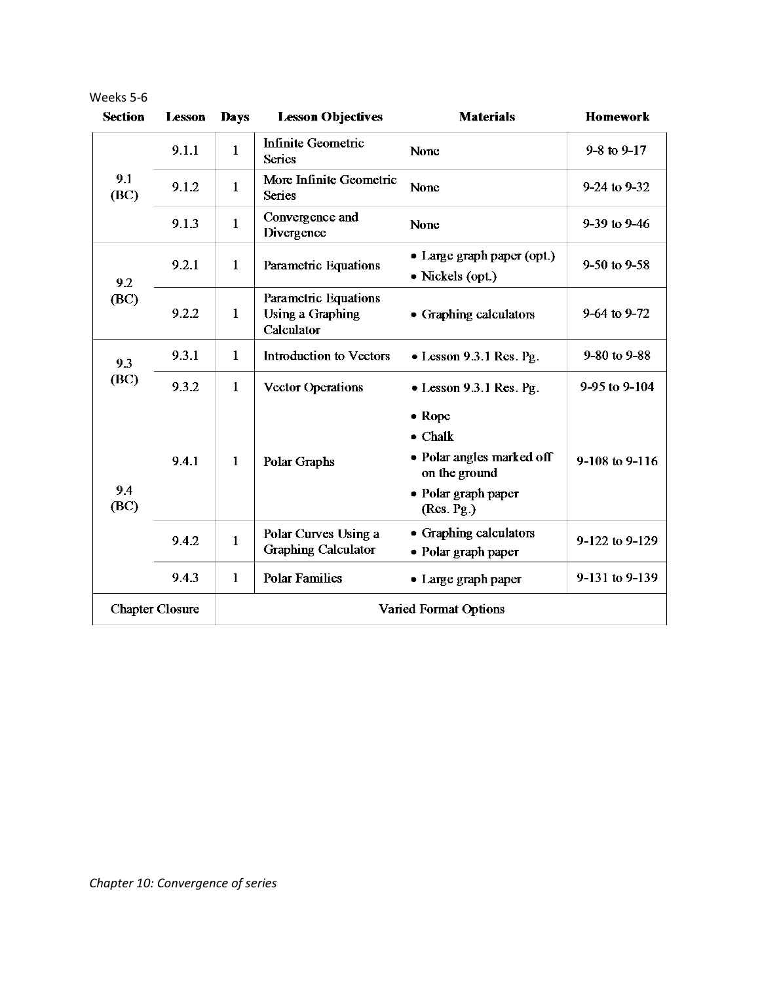| <b>Section</b>         | <b>Lesson</b> | <b>Days</b>           | <b>Lesson Objectives</b>                                      | <b>Materials</b>                                                                                                    | <b>Homework</b>     |
|------------------------|---------------|-----------------------|---------------------------------------------------------------|---------------------------------------------------------------------------------------------------------------------|---------------------|
| 9.1<br>(BC)            | 9.1.1         | $\mathbf{1}$          | <b>Infinite Geometric</b><br><b>Series</b>                    | None                                                                                                                | $9 - 8$ to $9 - 17$ |
|                        | 9.1.2         | $\mathbf{1}$          | More Infinite Geometric<br><b>Series</b>                      | None                                                                                                                | 9-24 to 9-32        |
|                        | 9.1.3         | $\mathbf{1}$          | Convergence and<br>Divergence                                 | None                                                                                                                | $9-39$ to $9-46$    |
| 9.2<br>(BC)            | 9.2.1         | $\mathbf{1}$          | Parametric Equations                                          | • Large graph paper (opt.)<br>• Nickels (opt.)                                                                      | $9-50$ to $9-58$    |
|                        | 9.2.2         | $\mathbf{1}$          | Parametric Equations<br><b>Using a Graphing</b><br>Calculator | • Graphing calculators                                                                                              | 9-64 to 9-72        |
| 9.3<br>(BC)            | 9.3.1         | $\mathbf{1}$          | <b>Introduction to Vectors</b>                                | $\bullet$ Lesson 9.3.1 Res. Pg.                                                                                     | 9-80 to 9-88        |
|                        | 9.3.2         | $\mathbf{1}$          | <b>Vector Operations</b>                                      | $\bullet$ Lesson 9.3.1 Res. Pg.                                                                                     | 9-95 to 9-104       |
| 9.4<br>(BC)            | 9.4.1         | $\mathbf{1}$          | Polar Graphs                                                  | $\bullet$ Rope<br>$\bullet$ Chalk<br>• Polar angles marked off<br>on the ground<br>• Polar graph paper<br>(Res.Pg.) | 9-108 to 9-116      |
|                        | 9.4.2         | $\mathbf{1}$          | Polar Curves Using a<br><b>Graphing Calculator</b>            | • Graphing calculators<br>• Polar graph paper                                                                       | 9-122 to 9-129      |
|                        | 9.4.3         | $\mathbf{1}$          | <b>Polar Families</b>                                         | • Large graph paper                                                                                                 | 9-131 to 9-139      |
| <b>Chapter Closure</b> |               | Varied Format Options |                                                               |                                                                                                                     |                     |

Weeks 5-6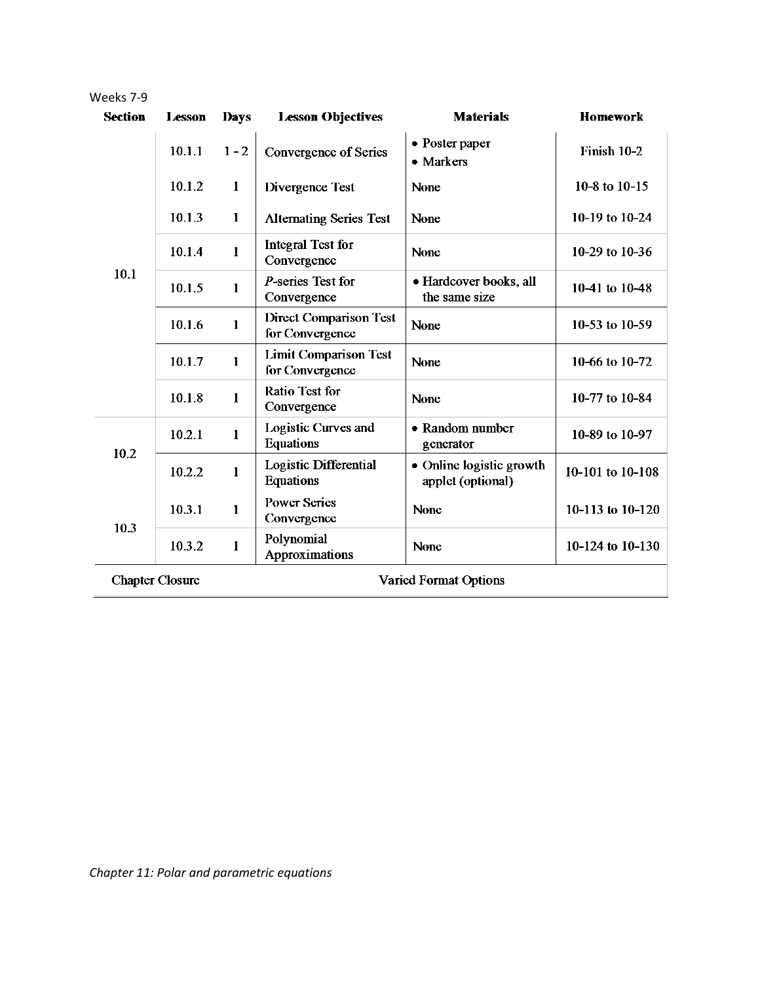| Weeks 7-9      |                        |              |                                                  |                                               |                  |
|----------------|------------------------|--------------|--------------------------------------------------|-----------------------------------------------|------------------|
| <b>Section</b> | <b>Lesson</b>          | <b>Days</b>  | <b>Lesson Objectives</b>                         | <b>Materials</b>                              | <b>Homework</b>  |
|                | 10.1.1                 | $1 - 2$      | <b>Convergence of Series</b>                     | • Poster paper<br>• Markers                   | Finish 10-2      |
|                | 10.1.2                 | $\mathbf{1}$ | Divergence Test                                  | None                                          | 10-8 to 10-15    |
|                | 10.1.3                 | $\mathbf{1}$ | <b>Alternating Series Test</b>                   | None                                          | 10-19 to 10-24   |
|                | 10.1.4                 | $\mathbf{1}$ | Integral Test for<br>Convergence                 | None                                          | 10-29 to 10-36   |
| 10.1           | 10.1.5                 | $\mathbf{1}$ | $P$ -series Test for<br>Convergence              | · Hardcover books, all<br>the same size       | 10-41 to 10-48   |
|                | 10.1.6                 | $\mathbf{1}$ | <b>Direct Comparison Test</b><br>for Convergence | None                                          | 10-53 to 10-59   |
|                | 10.1.7                 | 1            | <b>Limit Comparison Test</b><br>for Convergence  | None                                          | 10-66 to 10-72   |
|                | 10.1.8                 | $\mathbf{1}$ | <b>Ratio Test for</b><br>Convergence             | None                                          | 10-77 to 10-84   |
| 10.2           | 10.2.1                 | $\mathbf{1}$ | Logistic Curves and<br><b>Equations</b>          | • Random number<br>generator                  | 10-89 to 10-97   |
|                | 10.2.2                 | $\mathbf{1}$ | Logistic Differential<br><b>Equations</b>        | • Online logistic growth<br>applet (optional) | 10-101 to 10-108 |
| 10.3           | 10.3.1                 | $\mathbf{1}$ | <b>Power Series</b><br>Convergence               | None                                          | 10-113 to 10-120 |
|                | 10.3.2                 | $\mathbf{1}$ | Polynomial<br>Approximations                     | None                                          | 10-124 to 10-130 |
|                | <b>Chapter Closure</b> |              |                                                  | Varied Format Options                         |                  |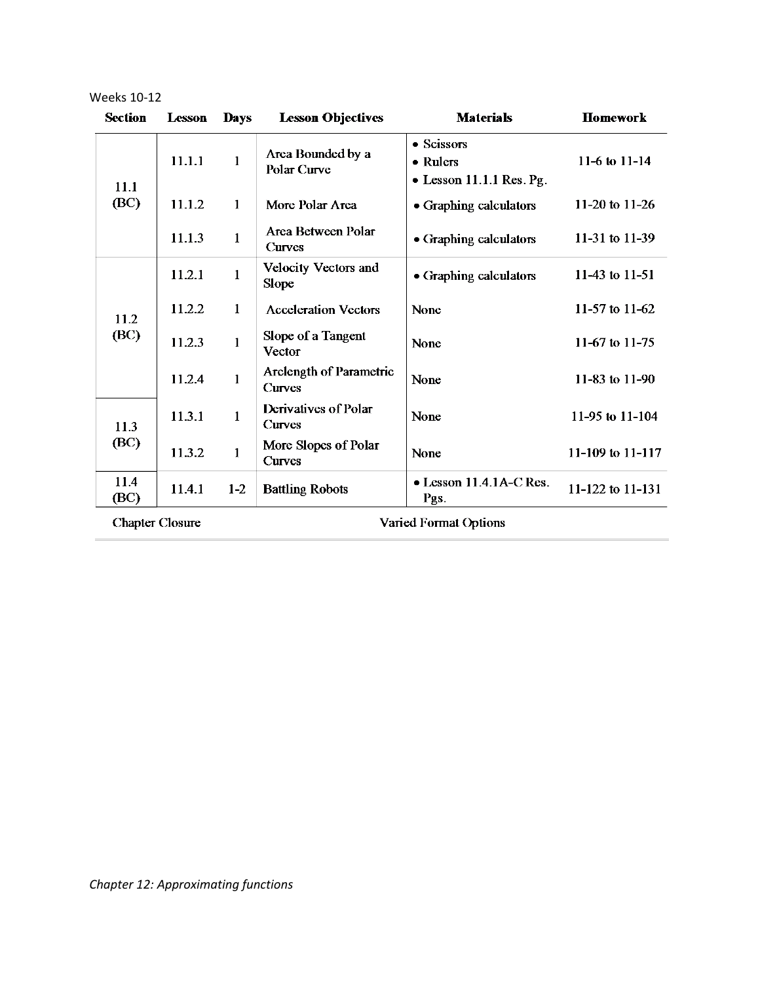| <b>Section</b>         | <b>Lesson</b> | <b>Days</b>  | <b>Lesson Objectives</b>             | <b>Materials</b>                                           | <b>Homework</b>  |
|------------------------|---------------|--------------|--------------------------------------|------------------------------------------------------------|------------------|
| 11.1                   | 11.1.1        | $\mathbf{1}$ | Area Bounded by a<br>Polar Curve     | • Scissors<br>• Rulers<br>$\bullet$ Lesson 11.1.1 Res. Pg. | 11-6 to 11-14    |
| (BC)                   | 11.1.2        | $\mathbf{1}$ | More Polar Area                      | • Graphing calculators                                     | 11-20 to $11-26$ |
|                        | 11.1.3        | $\mathbf{1}$ | Area Between Polar<br><b>Curves</b>  | • Graphing calculators                                     | 11-31 to 11-39   |
| 11.2<br>(BC)           | 11.2.1        | $\mathbf{1}$ | <b>Velocity Vectors and</b><br>Slope | • Graphing calculators                                     | 11-43 to 11-51   |
|                        | 11.2.2        | $\mathbf{1}$ | <b>Acceleration Vectors</b>          | None                                                       | 11-57 to 11-62   |
|                        | 11.2.3        | $\mathbf{1}$ | Slope of a Tangent<br>Vector         | None                                                       | 11-67 to 11-75   |
|                        | 11.2.4        | $\mathbf{1}$ | Arclength of Parametric<br>Curves    | None                                                       | 11-83 to 11-90   |
| 11.3<br>(BC)           | 11.3.1        | 1            | Derivatives of Polar<br>Curves       | None                                                       | 11-95 to 11-104  |
|                        | 11.3.2        | $\mathbf{1}$ | More Slopes of Polar<br>Curves       | None                                                       | 11-109 to 11-117 |
| 11.4<br>(BC)           | 11.4.1        | $1 - 2$      | <b>Battling Robots</b>               | • Lesson 11.4.1A-C Res.<br>Pgs.                            | 11-122 to 11-131 |
| <b>Chapter Closure</b> |               |              |                                      | Varied Format Options                                      |                  |

Weeks 10-12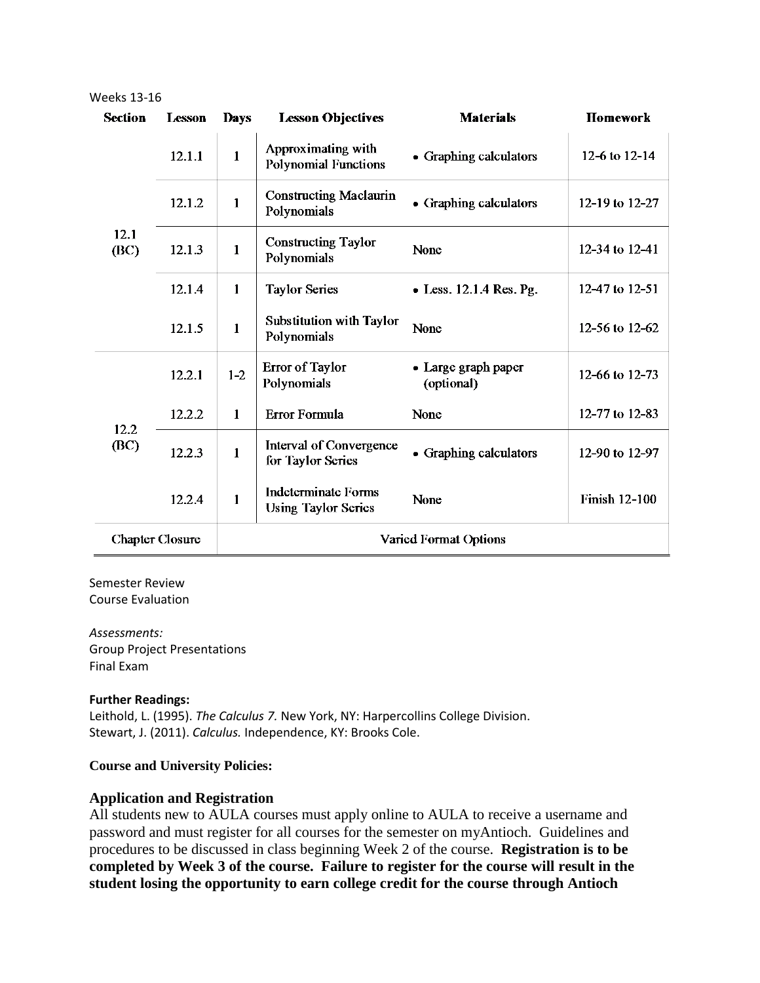| <b>Section</b>         | <b>Lesson</b> | <b>Days</b>                  | <b>Lesson Objectives</b>                                 | <b>Materials</b>                  | Homework             |
|------------------------|---------------|------------------------------|----------------------------------------------------------|-----------------------------------|----------------------|
| 12.1<br>(BC)           | 12.1.1        | $\mathbf{1}$                 | Approximating with<br><b>Polynomial Functions</b>        | • Graphing calculators            | 12-6 to 12-14        |
|                        | 12.1.2        | $\mathbf{1}$                 | <b>Constructing Maclaurin</b><br>Polynomials             | • Graphing calculators            | 12-19 to 12-27       |
|                        | 12.1.3        | $\mathbf{1}$                 | <b>Constructing Taylor</b><br>Polynomials                | None                              | 12-34 to 12-41       |
|                        | 12.1.4        | $\mathbf{1}$                 | <b>Taylor Series</b>                                     | $\bullet$ Less. 12.1.4 Res. Pg.   | 12-47 to 12-51       |
|                        | 12.1.5        | $\mathbf{1}$                 | <b>Substitution with Taylor</b><br>Polynomials           | None                              | 12-56 to 12-62       |
|                        | 12.2.1        | $1-2$                        | <b>Error of Taylor</b><br>Polynomials                    | • Large graph paper<br>(optional) | 12-66 to 12-73       |
|                        | 12.2.2        | $\mathbf{1}$                 | Error Formula                                            | None                              | 12-77 to 12-83       |
| 12.2<br>(BC)           | 12.2.3        | $\mathbf{1}$                 | Interval of Convergence<br>for Taylor Series             | • Graphing calculators            | 12-90 to 12-97       |
|                        | 12.2.4        | $\mathbf{1}$                 | <b>Indeterminate Forms</b><br><b>Using Taylor Series</b> | None                              | <b>Finish 12-100</b> |
| <b>Chapter Closure</b> |               | <b>Varied Format Options</b> |                                                          |                                   |                      |

#### Weeks 13-16

#### Semester Review Course Evaluation

*Assessments:* Group Project Presentations

Final Exam

#### **Further Readings:**

Leithold, L. (1995). *The Calculus 7.* New York, NY: Harpercollins College Division. Stewart, J. (2011). *Calculus.* Independence, KY: Brooks Cole.

#### **Course and University Policies:**

#### **Application and Registration**

All students new to AULA courses must apply online to AULA to receive a username and password and must register for all courses for the semester on myAntioch. Guidelines and procedures to be discussed in class beginning Week 2 of the course. **Registration is to be completed by Week 3 of the course. Failure to register for the course will result in the student losing the opportunity to earn college credit for the course through Antioch**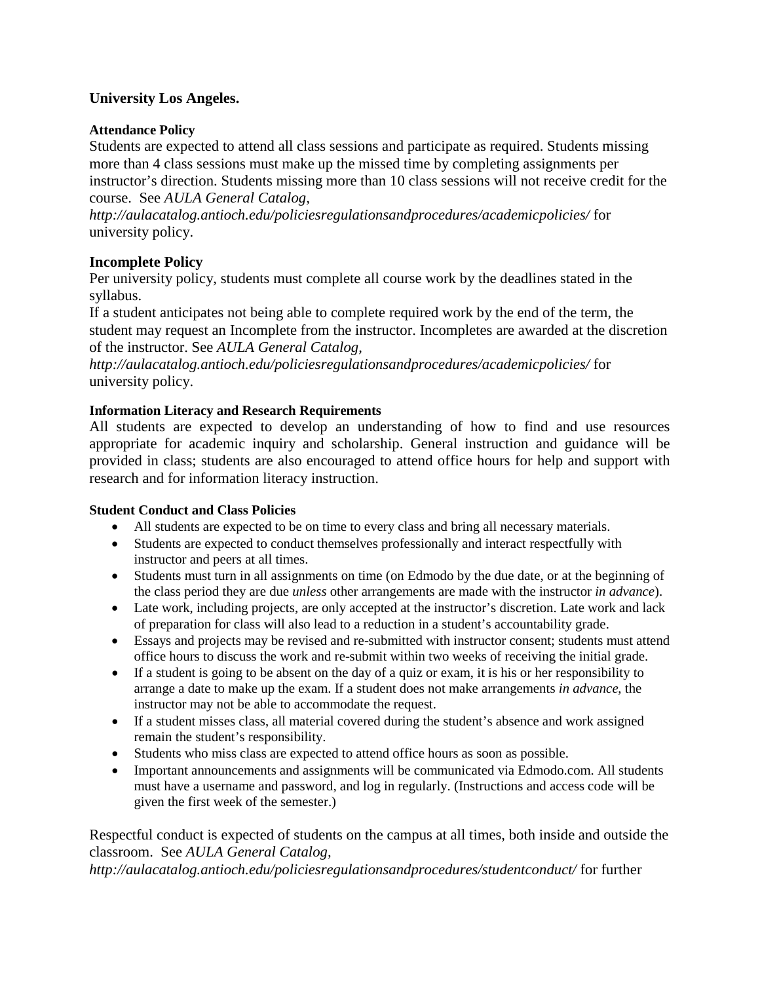### **University Los Angeles.**

### **Attendance Policy**

Students are expected to attend all class sessions and participate as required. Students missing more than 4 class sessions must make up the missed time by completing assignments per instructor's direction. Students missing more than 10 class sessions will not receive credit for the course. See *AULA General Catalog,* 

*http://aulacatalog.antioch.edu/policiesregulationsandprocedures/academicpolicies/* for university policy.

## **Incomplete Policy**

Per university policy, students must complete all course work by the deadlines stated in the syllabus.

If a student anticipates not being able to complete required work by the end of the term, the student may request an Incomplete from the instructor. Incompletes are awarded at the discretion of the instructor. See *AULA General Catalog,* 

*http://aulacatalog.antioch.edu/policiesregulationsandprocedures/academicpolicies/* for university policy.

### **Information Literacy and Research Requirements**

All students are expected to develop an understanding of how to find and use resources appropriate for academic inquiry and scholarship. General instruction and guidance will be provided in class; students are also encouraged to attend office hours for help and support with research and for information literacy instruction.

#### **Student Conduct and Class Policies**

- All students are expected to be on time to every class and bring all necessary materials.
- Students are expected to conduct themselves professionally and interact respectfully with instructor and peers at all times.
- Students must turn in all assignments on time (on Edmodo by the due date, or at the beginning of the class period they are due *unless* other arrangements are made with the instructor *in advance*).
- Late work, including projects, are only accepted at the instructor's discretion. Late work and lack of preparation for class will also lead to a reduction in a student's accountability grade.
- Essays and projects may be revised and re-submitted with instructor consent; students must attend office hours to discuss the work and re-submit within two weeks of receiving the initial grade.
- If a student is going to be absent on the day of a quiz or exam, it is his or her responsibility to arrange a date to make up the exam. If a student does not make arrangements *in advance*, the instructor may not be able to accommodate the request.
- If a student misses class, all material covered during the student's absence and work assigned remain the student's responsibility.
- Students who miss class are expected to attend office hours as soon as possible.
- Important announcements and assignments will be communicated via Edmodo.com. All students must have a username and password, and log in regularly. (Instructions and access code will be given the first week of the semester.)

## Respectful conduct is expected of students on the campus at all times, both inside and outside the classroom. See *AULA General Catalog,*

*http://aulacatalog.antioch.edu/policiesregulationsandprocedures/studentconduct/* for further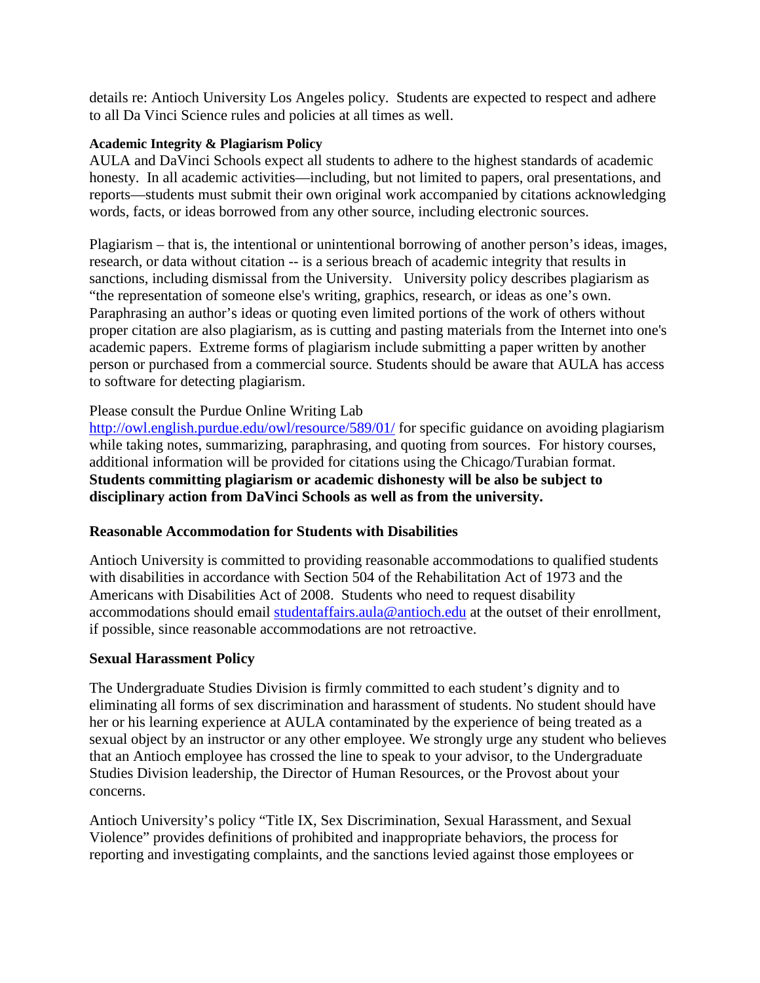details re: Antioch University Los Angeles policy. Students are expected to respect and adhere to all Da Vinci Science rules and policies at all times as well.

#### **Academic Integrity & Plagiarism Policy**

AULA and DaVinci Schools expect all students to adhere to the highest standards of academic honesty. In all academic activities—including, but not limited to papers, oral presentations, and reports—students must submit their own original work accompanied by citations acknowledging words, facts, or ideas borrowed from any other source, including electronic sources.

Plagiarism – that is, the intentional or unintentional borrowing of another person's ideas, images, research, or data without citation -- is a serious breach of academic integrity that results in sanctions, including dismissal from the University. University policy describes plagiarism as "the representation of someone else's writing, graphics, research, or ideas as one's own. Paraphrasing an author's ideas or quoting even limited portions of the work of others without proper citation are also plagiarism, as is cutting and pasting materials from the Internet into one's academic papers. Extreme forms of plagiarism include submitting a paper written by another person or purchased from a commercial source. Students should be aware that AULA has access to software for detecting plagiarism.

### Please consult the Purdue Online Writing Lab

<http://owl.english.purdue.edu/owl/resource/589/01/> for specific guidance on avoiding plagiarism while taking notes, summarizing, paraphrasing, and quoting from sources. For history courses, additional information will be provided for citations using the Chicago/Turabian format. **Students committing plagiarism or academic dishonesty will be also be subject to disciplinary action from DaVinci Schools as well as from the university.**

### **Reasonable Accommodation for Students with Disabilities**

Antioch University is committed to providing reasonable accommodations to qualified students with disabilities in accordance with Section 504 of the Rehabilitation Act of 1973 and the Americans with Disabilities Act of 2008. Students who need to request disability accommodations should email [studentaffairs.aula@antioch.edu](mailto:studentaffairs.aula@antioch.edu) at the outset of their enrollment, if possible, since reasonable accommodations are not retroactive.

#### **Sexual Harassment Policy**

The Undergraduate Studies Division is firmly committed to each student's dignity and to eliminating all forms of sex discrimination and harassment of students. No student should have her or his learning experience at AULA contaminated by the experience of being treated as a sexual object by an instructor or any other employee. We strongly urge any student who believes that an Antioch employee has crossed the line to speak to your advisor, to the Undergraduate Studies Division leadership, the Director of Human Resources, or the Provost about your concerns.

Antioch University's policy "Title IX, Sex Discrimination, Sexual Harassment, and Sexual Violence" provides definitions of prohibited and inappropriate behaviors, the process for reporting and investigating complaints, and the sanctions levied against those employees or